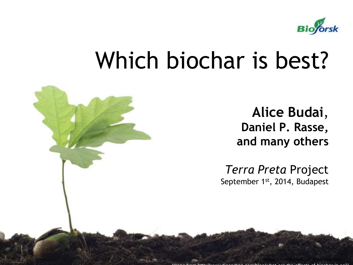

# Which biochar is best?



*Terra Preta* Project September 1<sup>st</sup>, 2014, Budapest

Image from http://www.diacarbon.com/blog/what-are-the-effects-of-biochar-in-soil/

Image from climateforce.wordpress.com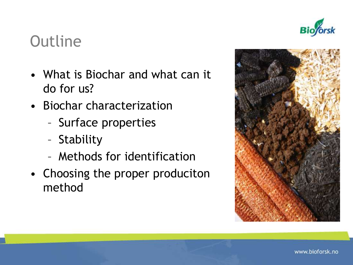# Bic

### **Outline**

- What is Biochar and what can it do for us?
- Biochar characterization
	- Surface properties
	- Stability
	- Methods for identification
- Choosing the proper produciton method

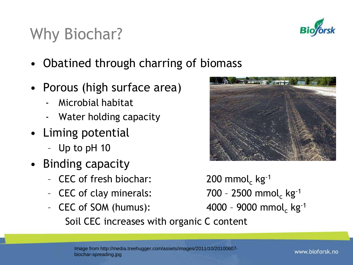#### Image from http://media.treehugger.com/assets/images/2011/10/20100607 biochar-spreading.jpg

Soil CEC increases with organic C content

#### www.bioforsk.no

# Why Biochar?

- Obatined through charring of biomass
- Porous (high surface area)
	- Microbial habitat
	- Water holding capacity
- Liming potential
	- Up to pH 10
- Binding capacity
	- CEC of fresh biochar:  $200 \text{ mmol}_c \text{ kg}^{-1}$
	- CEC of clay minerals:  $\frac{700 2500 \text{ mmol}}{k}$  kg<sup>-1</sup>
	- CEC of SOM (humus):  $4000 9000$  mmol<sub>c</sub> kg<sup>-1</sup>



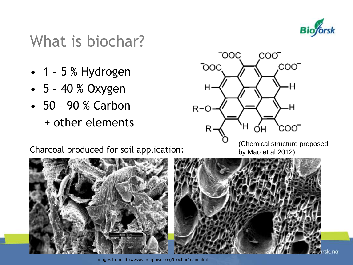

#### What is biochar?

- 1 5 % Hydrogen
- 5 40 % Oxygen
- 50 90 % Carbon + other elements

Charcoal produced for soil application:



(Chemical structure proposed by Mao et al 2012)



Images from http://www.treepower.org/biochar/main.html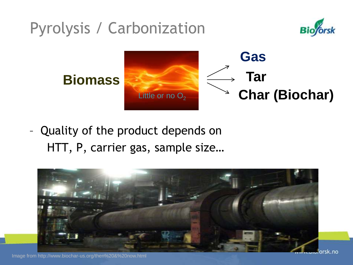## Pyrolysis / Carbonization





– Quality of the product depends on HTT, P, carrier gas, sample size…



Image from http://www.biochar-us.org/then%20&%20now.html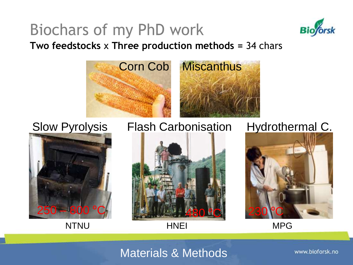### Biochars of my PhD work



**Two feedstocks** x **Three production methods =** 34 chars



Slow Pyrolysis Flash Carbonisation Hydrothermal C.









NTNU HNEI MPG

#### Materials & Methods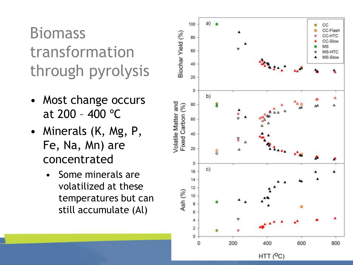## Biomass transformation through pyrolysis

- Most change occurs at 200 – 400 ºC
- Minerals (K, Mg, P, Fe, Na, Mn) are concentrated
	- Some minerals are volatilized at these temperatures but can still accumulate (Al)

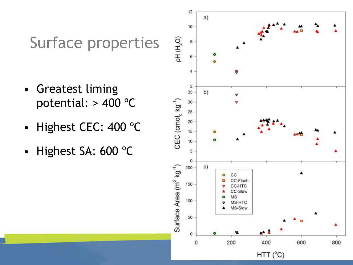#### Surface properties

- Greatest liming potential: > 400 ºC
- Highest CEC: 400 ºC
- Highest SA: 600 °C

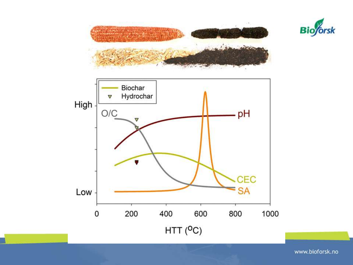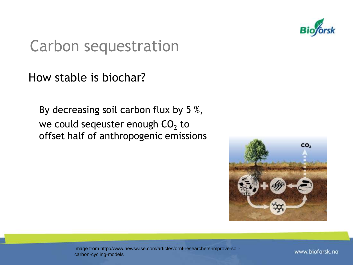

#### Carbon sequestration

How stable is biochar?

By decreasing soil carbon flux by 5 %, we could seqeuster enough CO<sub>2</sub> to offset half of anthropogenic emissions



Image from http://www.newswise.com/articles/ornl-researchers-improve-soilcarbon-cycling-models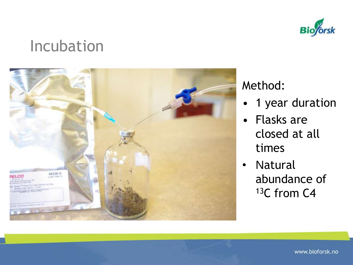

#### Incubation



#### Method:

- 1 year duration
- Flasks are closed at all times
- Natural abundance of <sup>13</sup>C from C4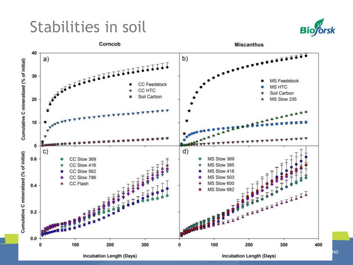#### Stabilities in soil





no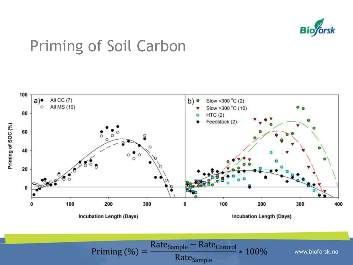

#### Priming of Soil Carbon



 $Rate_{Sample} - Rate_{Control}$ Priming  $(\%) =$ \*100% www.bioforsk.no  $\mathsf{Rate}_{\mathsf{Sample}}$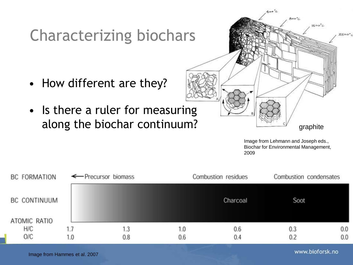#### Characterizing biochars

- How different are they?
- Is there a ruler for measuring along the biochar continuum?



Image from Lehmann and Joseph eds., Biochar for Environmental Management, 2009

| <b>BC FORMATION</b>        | ← Precursor biomass |            | Combustion residues |            | Combustion condensates |            |
|----------------------------|---------------------|------------|---------------------|------------|------------------------|------------|
| BC CONTINUUM               |                     |            |                     | Charcoal   | Soot                   |            |
| ATOMIC RATIO<br>H/C<br>O/C | 1.7<br>1.0          | 1.3<br>0.8 | 1.0<br>0.6          | 0.6<br>0.4 | 0.3<br>0.2             | 0.0<br>0.0 |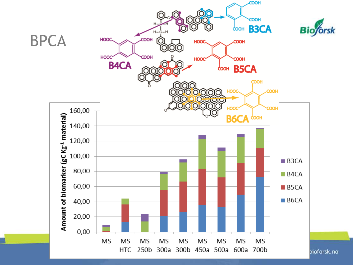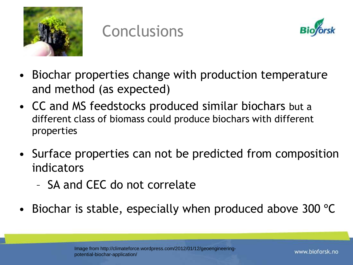

#### **Conclusions**



- Biochar properties change with production temperature and method (as expected)
- CC and MS feedstocks produced similar biochars but a different class of biomass could produce biochars with different properties
- Surface properties can not be predicted from composition indicators
	- SA and CEC do not correlate
- Biochar is stable, especially when produced above 300 ºC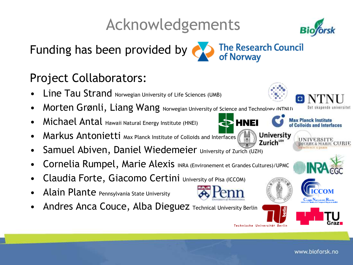## Acknowledgements



The Research Council<br>of Norway Funding has been provided by

#### Project Collaborators:

- Line Tau Strand Norwegian University of Life Sciences (UMB)
- **Morten Grønli, Liang Wang** Norwegian University of Science and Technology (NTNLI)
- Michael Antal Hawaii Natural Energy Institute (HNEI)
- Markus Antonietti Max Planck Institute of Colloids and Interfaces (
- Samuel Abiven, Daniel Wiedemeier University of Zurich (UZH)
- Cornelia Rumpel, Marie Alexis INRA (Environement et Grandes Cultures)/UPMC
- Claudia Forte, Giacomo Certini University of Pisa (ICCOM)
- Alain Plante Pennsylvania State University
- Andres Anca Couce, Alba Dieguez Technical University Berlin













Technische Universität Berlin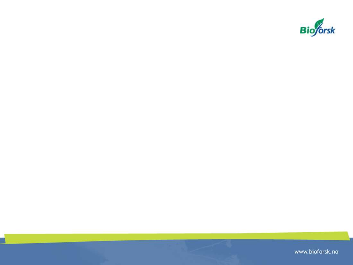